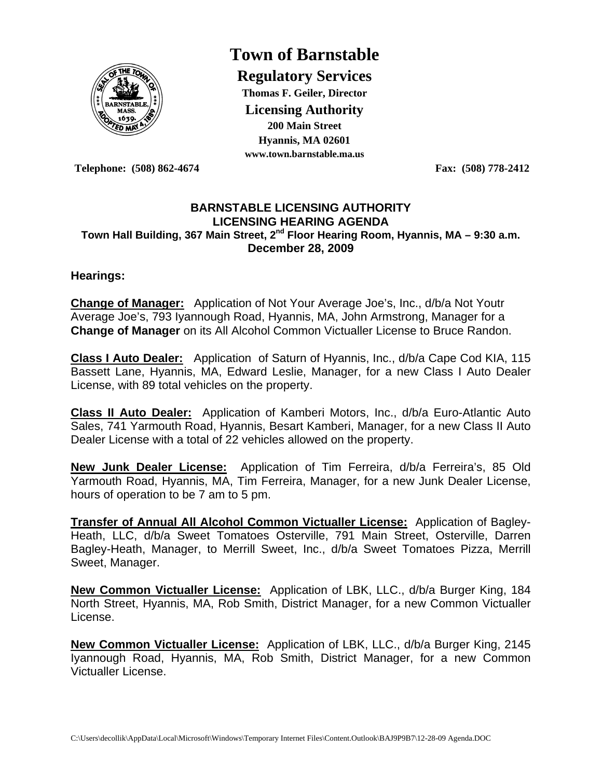

# **Town of Barnstable**

**Regulatory Services Thomas F. Geiler, Director Licensing Authority 200 Main Street Hyannis, MA 02601 www.town.barnstable.ma.us**

**Telephone: (508) 862-4674 Fax: (508) 778-2412** 

#### **BARNSTABLE LICENSING AUTHORITY LICENSING HEARING AGENDA**  Town Hall Building, 367 Main Street, 2<sup>nd</sup> Floor Hearing Room, Hyannis, MA – 9:30 a.m. **December 28, 2009**

#### **Hearings:**

**Change of Manager:** Application of Not Your Average Joe's, Inc., d/b/a Not Youtr Average Joe's, 793 Iyannough Road, Hyannis, MA, John Armstrong, Manager for a **Change of Manager** on its All Alcohol Common Victualler License to Bruce Randon.

**Class I Auto Dealer:** Application of Saturn of Hyannis, Inc., d/b/a Cape Cod KIA, 115 Bassett Lane, Hyannis, MA, Edward Leslie, Manager, for a new Class I Auto Dealer License, with 89 total vehicles on the property.

**Class II Auto Dealer:** Application of Kamberi Motors, Inc., d/b/a Euro-Atlantic Auto Sales, 741 Yarmouth Road, Hyannis, Besart Kamberi, Manager, for a new Class II Auto Dealer License with a total of 22 vehicles allowed on the property.

**New Junk Dealer License:** Application of Tim Ferreira, d/b/a Ferreira's, 85 Old Yarmouth Road, Hyannis, MA, Tim Ferreira, Manager, for a new Junk Dealer License, hours of operation to be 7 am to 5 pm.

**Transfer of Annual All Alcohol Common Victualler License:** Application of Bagley-Heath, LLC, d/b/a Sweet Tomatoes Osterville, 791 Main Street, Osterville, Darren Bagley-Heath, Manager, to Merrill Sweet, Inc., d/b/a Sweet Tomatoes Pizza, Merrill Sweet, Manager.

**New Common Victualler License:** Application of LBK, LLC., d/b/a Burger King, 184 North Street, Hyannis, MA, Rob Smith, District Manager, for a new Common Victualler License.

**New Common Victualler License:** Application of LBK, LLC., d/b/a Burger King, 2145 Iyannough Road, Hyannis, MA, Rob Smith, District Manager, for a new Common Victualler License.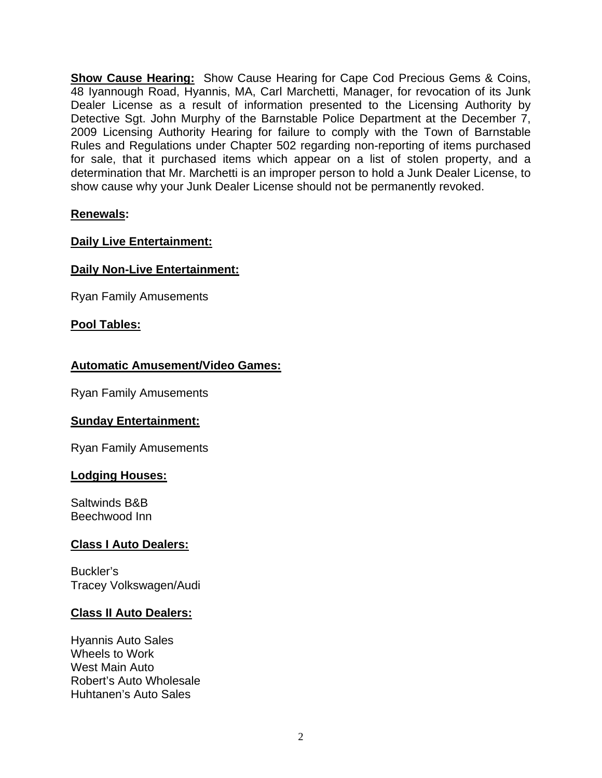**Show Cause Hearing:** Show Cause Hearing for Cape Cod Precious Gems & Coins, 48 Iyannough Road, Hyannis, MA, Carl Marchetti, Manager, for revocation of its Junk Dealer License as a result of information presented to the Licensing Authority by Detective Sgt. John Murphy of the Barnstable Police Department at the December 7, 2009 Licensing Authority Hearing for failure to comply with the Town of Barnstable Rules and Regulations under Chapter 502 regarding non-reporting of items purchased for sale, that it purchased items which appear on a list of stolen property, and a determination that Mr. Marchetti is an improper person to hold a Junk Dealer License, to show cause why your Junk Dealer License should not be permanently revoked.

#### **Renewals:**

## **Daily Live Entertainment:**

## **Daily Non-Live Entertainment:**

Ryan Family Amusements

#### **Pool Tables:**

#### **Automatic Amusement/Video Games:**

Ryan Family Amusements

#### **Sunday Entertainment:**

Ryan Family Amusements

#### **Lodging Houses:**

Saltwinds B&B Beechwood Inn

#### **Class I Auto Dealers:**

Buckler's Tracey Volkswagen/Audi

#### **Class II Auto Dealers:**

Hyannis Auto Sales Wheels to Work West Main Auto Robert's Auto Wholesale Huhtanen's Auto Sales